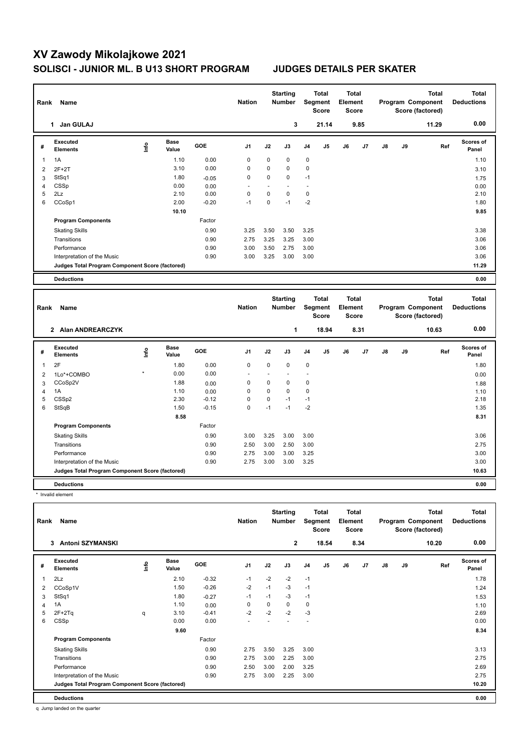## **XV Zawody Mikolajkowe 2021 SOLISCI - JUNIOR ML. B U13 SHORT PROGRAM JUDGES DETAILS PER SKATER**

| Rank           | Name                                            |      |                      |            | <b>Nation</b>  |             | <b>Starting</b><br>Number |                | <b>Total</b><br><b>Segment</b><br><b>Score</b> | <b>Total</b><br>Element<br><b>Score</b> |      |               |    | <b>Total</b><br>Program Component<br>Score (factored) |     | <b>Total</b><br><b>Deductions</b> |
|----------------|-------------------------------------------------|------|----------------------|------------|----------------|-------------|---------------------------|----------------|------------------------------------------------|-----------------------------------------|------|---------------|----|-------------------------------------------------------|-----|-----------------------------------|
|                | 1 Jan GULAJ                                     |      |                      |            |                |             | 3                         |                | 21.14                                          |                                         | 9.85 |               |    | 11.29                                                 |     | 0.00                              |
| #              | Executed<br><b>Elements</b>                     | Lnfo | <b>Base</b><br>Value | <b>GOE</b> | J <sub>1</sub> | J2          | J3                        | J4             | J5                                             | J6                                      | J7   | $\mathsf{J}8$ | J9 |                                                       | Ref | Scores of<br>Panel                |
| $\mathbf{1}$   | 1A                                              |      | 1.10                 | 0.00       | $\mathbf 0$    | $\mathbf 0$ | $\mathbf 0$               | 0              |                                                |                                         |      |               |    |                                                       |     | 1.10                              |
| $\overline{2}$ | $2F+2T$                                         |      | 3.10                 | 0.00       | $\mathbf 0$    | $\mathbf 0$ | $\mathbf 0$               | 0              |                                                |                                         |      |               |    |                                                       |     | 3.10                              |
| 3              | StSq1                                           |      | 1.80                 | $-0.05$    | $\mathbf 0$    | $\mathbf 0$ | $\mathbf 0$               | $-1$           |                                                |                                         |      |               |    |                                                       |     | 1.75                              |
| 4              | CSSp                                            |      | 0.00                 | 0.00       | ÷,             | Ĭ.          |                           | ÷              |                                                |                                         |      |               |    |                                                       |     | 0.00                              |
| 5              | 2Lz                                             |      | 2.10                 | 0.00       | $\mathbf 0$    | $\Omega$    | $\Omega$                  | $\Omega$       |                                                |                                         |      |               |    |                                                       |     | 2.10                              |
| 6              | CCoSp1                                          |      | 2.00                 | $-0.20$    | $-1$           | $\Omega$    | $-1$                      | $-2$           |                                                |                                         |      |               |    |                                                       |     | 1.80                              |
|                |                                                 |      | 10.10                |            |                |             |                           |                |                                                |                                         |      |               |    |                                                       |     | 9.85                              |
|                | <b>Program Components</b>                       |      |                      | Factor     |                |             |                           |                |                                                |                                         |      |               |    |                                                       |     |                                   |
|                | <b>Skating Skills</b>                           |      |                      | 0.90       | 3.25           | 3.50        | 3.50                      | 3.25           |                                                |                                         |      |               |    |                                                       |     | 3.38                              |
|                | Transitions                                     |      |                      | 0.90       | 2.75           | 3.25        | 3.25                      | 3.00           |                                                |                                         |      |               |    |                                                       |     | 3.06                              |
|                | Performance                                     |      |                      | 0.90       | 3.00           | 3.50        | 2.75                      | 3.00           |                                                |                                         |      |               |    |                                                       |     | 3.06                              |
|                | Interpretation of the Music                     |      |                      | 0.90       | 3.00           | 3.25        | 3.00                      | 3.00           |                                                |                                         |      |               |    |                                                       |     | 3.06                              |
|                | Judges Total Program Component Score (factored) |      |                      |            |                |             |                           |                |                                                |                                         |      |               |    |                                                       |     | 11.29                             |
|                | <b>Deductions</b>                               |      |                      |            |                |             |                           |                |                                                |                                         |      |               |    |                                                       |     | 0.00                              |
|                |                                                 |      |                      |            |                |             |                           |                |                                                |                                         |      |               |    |                                                       |     |                                   |
|                |                                                 |      |                      |            |                |             |                           |                |                                                |                                         |      |               |    |                                                       |     |                                   |
|                |                                                 |      |                      |            |                |             | <b>Starting</b>           |                | <b>Total</b>                                   | <b>Total</b>                            |      |               |    | <b>Total</b>                                          |     | <b>Total</b>                      |
| Rank           | Name                                            |      |                      |            | <b>Nation</b>  |             | <b>Number</b>             |                | Segment                                        | Element                                 |      |               |    | Program Component                                     |     | <b>Deductions</b>                 |
|                |                                                 |      |                      |            |                |             |                           |                | <b>Score</b>                                   | <b>Score</b>                            |      |               |    | Score (factored)                                      |     |                                   |
|                | 2 Alan ANDREARCZYK                              |      |                      |            |                |             | 1                         |                | 18.94                                          |                                         | 8.31 |               |    | 10.63                                                 |     | 0.00                              |
| #              | <b>Executed</b><br><b>Elements</b>              | Info | <b>Base</b><br>Value | <b>GOE</b> | J <sub>1</sub> | J2          | J3                        | J <sub>4</sub> | J <sub>5</sub>                                 | J6                                      | J7   | $\mathsf{J}8$ | J9 |                                                       | Ref | Scores of<br>Panel                |
| 1              | 2F                                              |      | 1.80                 | 0.00       | $\mathbf 0$    | $\mathbf 0$ | 0                         | 0              |                                                |                                         |      |               |    |                                                       |     | 1.80                              |
| $\overline{2}$ | 1Lo*+COMBO                                      |      | 0.00                 | 0.00       | Ĭ.             | Ĭ.          |                           | ä,             |                                                |                                         |      |               |    |                                                       |     | 0.00                              |
| 3              | CCoSp2V                                         |      | 1.88                 | 0.00       | $\mathbf 0$    | $\mathbf 0$ | $\mathbf 0$               | 0              |                                                |                                         |      |               |    |                                                       |     | 1.88                              |
| 4              | 1A                                              |      | 1.10                 | 0.00       | $\mathbf 0$    | $\mathbf 0$ | $\mathbf 0$               | 0              |                                                |                                         |      |               |    |                                                       |     | 1.10                              |
| 5              | CSS <sub>p2</sub>                               |      | 2.30                 | $-0.12$    | $\mathbf 0$    | $\pmb{0}$   | $-1$                      | $-1$           |                                                |                                         |      |               |    |                                                       |     | 2.18                              |
| 6              | StSqB                                           |      | 1.50                 | $-0.15$    | $\Omega$       | $-1$        | $-1$                      | $-2$           |                                                |                                         |      |               |    |                                                       |     | 1.35                              |
|                |                                                 |      | 8.58                 |            |                |             |                           |                |                                                |                                         |      |               |    |                                                       |     | 8.31                              |
|                | <b>Program Components</b>                       |      |                      | Factor     |                |             |                           |                |                                                |                                         |      |               |    |                                                       |     |                                   |
|                | <b>Skating Skills</b>                           |      |                      | 0.90       | 3.00           | 3.25        | 3.00                      | 3.00           |                                                |                                         |      |               |    |                                                       |     | 3.06                              |
|                | Transitions                                     |      |                      | 0.90       | 2.50           | 3.00        | 2.50                      | 3.00           |                                                |                                         |      |               |    |                                                       |     | 2.75                              |
|                | Performance                                     |      |                      | 0.90       | 2.75           | 3.00        | 3.00                      | 3.25           |                                                |                                         |      |               |    |                                                       |     | 3.00                              |
|                | Interpretation of the Music                     |      |                      | 0.90       | 2.75           | 3.00        | 3.00                      | 3.25           |                                                |                                         |      |               |    |                                                       |     | 3.00                              |

\* Invalid element

| Name<br>Rank |                                                 |      |                      |            | <b>Nation</b>  | <b>Starting</b><br><b>Number</b> |                | <b>Total</b><br>Segment<br><b>Score</b> |       | <b>Total</b><br>Element<br><b>Score</b> |                | <b>Total</b><br>Program Component<br>Score (factored) |    |       | <b>Total</b><br><b>Deductions</b> |
|--------------|-------------------------------------------------|------|----------------------|------------|----------------|----------------------------------|----------------|-----------------------------------------|-------|-----------------------------------------|----------------|-------------------------------------------------------|----|-------|-----------------------------------|
|              | Antoni SZYMANSKI<br>3                           |      |                      |            |                |                                  | $\overline{2}$ |                                         | 18.54 |                                         | 8.34           |                                                       |    | 10.20 | 0.00                              |
| #            | Executed<br><b>Elements</b>                     | ١nf٥ | <b>Base</b><br>Value | <b>GOE</b> | J <sub>1</sub> | J2                               | J3             | J <sub>4</sub>                          | J5    | J6                                      | J <sub>7</sub> | $\mathsf{J}8$                                         | J9 | Ref   | Scores of<br>Panel                |
| 1            | 2Lz                                             |      | 2.10                 | $-0.32$    | $-1$           | $-2$                             | $-2$           | $-1$                                    |       |                                         |                |                                                       |    |       | 1.78                              |
| 2            | CCoSp1V                                         |      | 1.50                 | $-0.26$    | $-2$           | $-1$                             | $-3$           | $-1$                                    |       |                                         |                |                                                       |    |       | 1.24                              |
| 3            | StSq1                                           |      | 1.80                 | $-0.27$    | $-1$           | $-1$                             | $-3$           | $-1$                                    |       |                                         |                |                                                       |    |       | 1.53                              |
| 4            | 1A                                              |      | 1.10                 | 0.00       | 0              | $\mathbf 0$                      | 0              | $\mathbf 0$                             |       |                                         |                |                                                       |    |       | 1.10                              |
| 5            | $2F+2Tq$                                        | q    | 3.10                 | $-0.41$    | $-2$           | $-2$                             | $-2$           | $-3$                                    |       |                                         |                |                                                       |    |       | 2.69                              |
| 6            | CSSp                                            |      | 0.00                 | 0.00       |                |                                  |                |                                         |       |                                         |                |                                                       |    |       | 0.00                              |
|              |                                                 |      | 9.60                 |            |                |                                  |                |                                         |       |                                         |                |                                                       |    |       | 8.34                              |
|              | <b>Program Components</b>                       |      |                      | Factor     |                |                                  |                |                                         |       |                                         |                |                                                       |    |       |                                   |
|              | <b>Skating Skills</b>                           |      |                      | 0.90       | 2.75           | 3.50                             | 3.25           | 3.00                                    |       |                                         |                |                                                       |    |       | 3.13                              |
|              | Transitions                                     |      |                      | 0.90       | 2.75           | 3.00                             | 2.25           | 3.00                                    |       |                                         |                |                                                       |    |       | 2.75                              |
|              | Performance                                     |      |                      | 0.90       | 2.50           | 3.00                             | 2.00           | 3.25                                    |       |                                         |                |                                                       |    |       | 2.69                              |
|              | Interpretation of the Music                     |      |                      | 0.90       | 2.75           | 3.00                             | 2.25           | 3.00                                    |       |                                         |                |                                                       |    |       | 2.75                              |
|              | Judges Total Program Component Score (factored) |      |                      |            |                |                                  |                |                                         |       |                                         |                |                                                       |    |       | 10.20                             |
|              | <b>Deductions</b>                               |      |                      |            |                |                                  |                |                                         |       |                                         |                |                                                       |    |       | 0.00                              |

**Deductions 0.00**

q Jump landed on the quarter